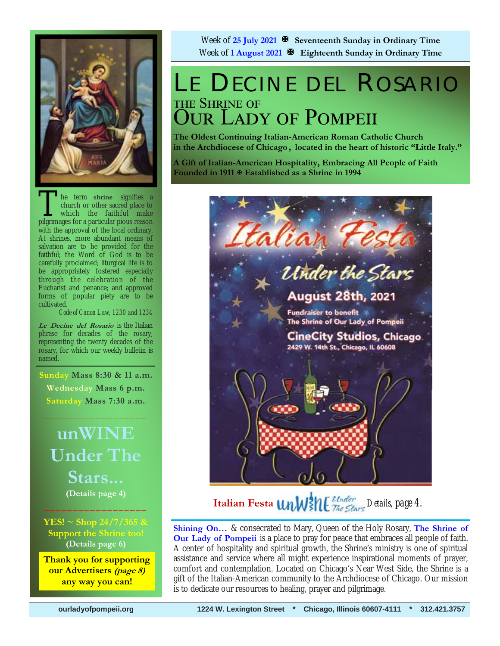

The term shrine signifies a<br>church or other sacred place to<br>which the faithful make<br>pilgrimages for a particular pious reason church or other sacred place to which the faithful make pilgrimages for a particular pious reason with the approval of the local ordinary. At shrines, more abundant means of salvation are to be provided for the faithful; the Word of God is to be carefully proclaimed; liturgical life is to be appropriately fostered especially through the celebration of the Eucharist and penance; and approved forms of popular piety are to be cultivated.

*Code of Canon Law, 1230 and 1234* 

**Le Decine del Rosario** is the Italian phrase for decades of the rosary, representing the twenty decades of the rosary, for which our weekly bulletin is named.

 **Sunday Mass 8:30 & 11 a.m. Wednesday Mass 6 p.m. Saturday Mass 7:30 a.m.** 

 $\frac{1}{2}$  ,  $\frac{1}{2}$  ,  $\frac{1}{2}$  ,  $\frac{1}{2}$  ,  $\frac{1}{2}$  ,  $\frac{1}{2}$  ,  $\frac{1}{2}$  ,  $\frac{1}{2}$ 

## **unWINE Under The Stars... (Details page 4)**  $\frac{1}{2}$  ,  $\frac{1}{2}$  ,  $\frac{1}{2}$  ,  $\frac{1}{2}$  ,  $\frac{1}{2}$  ,  $\frac{1}{2}$  ,  $\frac{1}{2}$  ,  $\frac{1}{2}$

**YES! ~ Shop 24/7/365 & Support the Shrine too! (Details page 6)**

**Thank you for supporting our Advertisers (page 8) any way you can!** 

Week of **25 July 2021 Seventeenth Sunday in Ordinary Time** Week of **1 August 2021 Eighteenth Sunday in Ordinary Time** 

## LE DECINE DEL ROSARIO THE SHRINE OF **OUR LADY OF POMPEII**

**The Oldest Continuing Italian-American Roman Catholic Church in the Archdiocese of Chicago , located in the heart of historic "Little Italy."** 

**A Gift of Italian-American Hospitality, Embracing All People of Faith Founded in 1911 Established as a Shrine in 1994**



**Italian Festa** *UnW***}\{***L*<sup>*Under The Stars Details, page 4.*</sup>

**Shining On…** & consecrated to Mary, Queen of the Holy Rosary, **The Shrine of Our Lady of Pompeii** is a place to pray for peace that embraces all people of faith. A center of hospitality and spiritual growth, the Shrine's ministry is one of spiritual assistance and service where all might experience inspirational moments of prayer, comfort and contemplation. Located on Chicago's Near West Side, the Shrine is a gift of the Italian-American community to the Archdiocese of Chicago. Our mission is to dedicate our resources to healing, prayer and pilgrimage.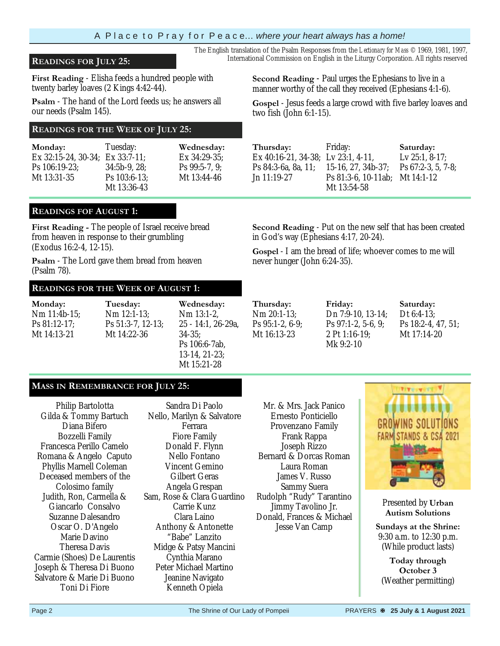A P l a c e t o P r a y f o r P e a c e… *where your heart always has a home!* 

**First Reading** - Elisha feeds a hundred people with twenty barley loaves (2 Kings 4:42-44).

 **Psalm** - The hand of the Lord feeds us; he answers all our needs (Psalm 145).

### **READINGS FOR THE WEEK OF JULY 25:**

| Monday:                                  | Tuesday:       | Wednesday:       |
|------------------------------------------|----------------|------------------|
| Ex $32:15-24$ , $30-34$ ; Ex $33:7-11$ ; |                | Ex 34:29-35;     |
| Ps 106:19-23;                            | $34:5b-9.28$   | Ps $99:5-7, 9$ ; |
| Mt 13:31-35                              | $Ps$ 103:6-13; | Mt 13:44-46      |
|                                          | Mt 13:36-43    |                  |

The English translation of the Psalm Responses from the *Lectionary for Mass* © 1969, 1981, 1997, **READINGS FOR JULY 25:** International Commission on English in the Liturgy Corporation. All rights reserved

> **Second Reading** - Paul urges the Ephesians to live in a manner worthy of the call they received (Ephesians 4:1-6).

**Gospel** - Jesus feeds a large crowd with five barley loaves and two fish (John 6:1-15).

| Thursday:                          | Friday:         |
|------------------------------------|-----------------|
| Ex 40:16-21, 34-38; Lv 23:1, 4-11, |                 |
| Ps 84:3-6a, 8a, 11; 15-16, 27, 34b |                 |
| Jn 11:19-27                        | Ps 81:3-6, 10-1 |
|                                    | Mt 13:54-58     |

in God's way (Ephesians 4:17, 20-24).

never hunger (John 6:24-35).

15-16, 27, 34b-37; Ps 81:3-6, 10-11ab; Mt 14:1-12 **Saturday:**  Lv 25:1, 8-17; Ps 67:2-3, 5, 7-8;

### **READINGS FOF AUGUST 1:**

**First Reading -** The people of Israel receive bread from heaven in response to their grumbling (Exodus 16:2-4, 12-15).

**Psalm** - The Lord gave them bread from heaven (Psalm 78).

#### **READINGS FOR THE WEEK OF AUGUST 1:**

**Monday:** Nm 11:4b-15; Ps 81:12-17; Mt 14:13-21 **Tuesday:**  Nm 12:1-13; Ps 51:3-7, 12-13; Mt 14:22-36 **Wednesday:**  Nm 13:1-2, 25 - 14:1, 26-29a, 34-35; Ps 106:6-7ab, 13-14, 21-23; Mt 15:21-28

**Thursday:**  Nm 20:1-13; Ps 95:1-2, 6-9; Mt 16:13-23

**Friday:**  Dn 7:9-10, 13-14; Ps 97:1-2, 5-6, 9; 2 Pt 1:16-19; Mk 9:2-10

**Second Reading** - Put on the new self that has been created

**Gospel** - I am the bread of life; whoever comes to me will

**Saturday:**  Dt 6:4-13; Ps 18:2-4, 47, 51; Mt 17:14-20

### **MASS IN REMEMBRANCE FOR JULY 25:**

Philip Bartolotta Gilda & Tommy Bartuch Diana Bifero Bozzelli Family Francesca Perillo Camelo Romana & Angelo Caputo Phyllis Marnell Coleman Deceased members of the Colosimo family Judith, Ron, Carmella & Giancarlo Consalvo Suzanne Dalesandro Oscar O. D'Angelo Marie Davino Theresa Davis Carmie (Shoes) De Laurentis Joseph & Theresa Di Buono Salvatore & Marie Di Buono Toni Di Fiore

Sandra Di Paolo Nello, Marilyn & Salvatore Ferrara Fiore Family Donald F. Flynn Nello Fontano Vincent Gemino Gilbert Geras Angela Grespan Sam, Rose & Clara Guardino Carrie Kunz Clara Laino Anthony & Antonette "Babe" Lanzito Midge & Patsy Mancini Cynthia Marano Peter Michael Martino Jeanine Navigato Kenneth Opiela

Mr. & Mrs. Jack Panico Ernesto Ponticiello Provenzano Family Frank Rappa Joseph Rizzo Bernard & Dorcas Roman Laura Roman James V. Russo Sammy Suera Rudolph "Rudy" Tarantino Jimmy Tavolino Jr. Donald, Frances & Michael Jesse Van Camp



Presented by **Urban Autism Solutions** 

**Sundays at the Shrine:**  9:30 a.m. to 12:30 p.m. (While product lasts)

**Today through October 3**  (Weather permitting)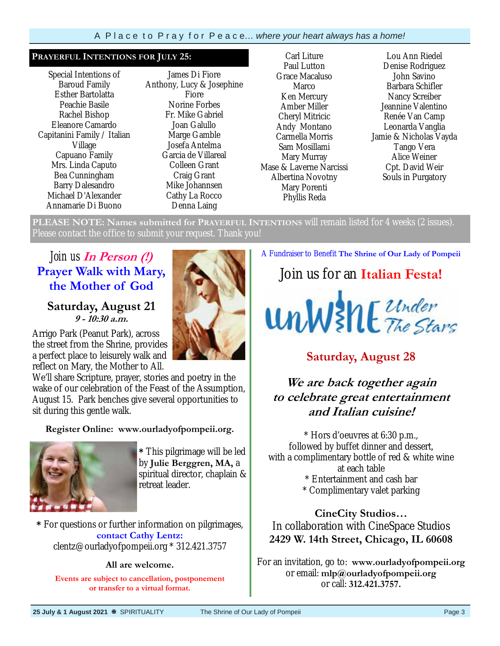#### **PRAYERFUL INTENTIONS FOR JULY 25:**

Special Intentions of Baroud Family Esther Bartolatta Peachie Basile Rachel Bishop Eleanore Camardo Capitanini Family / Italian Village Capuano Family Mrs. Linda Caputo Bea Cunningham Barry Dalesandro Michael D'Alexander Annamarie Di Buono

James Di Fiore Anthony, Lucy & Josephine Fiore Norine Forbes Fr. Mike Gabriel Joan Galullo Marge Gamble Josefa Antelma Garcia de Villareal Colleen Grant Craig Grant Mike Johannsen Cathy La Rocco Denna Laing

Carl Liture Paul Lutton Grace Macaluso Marco Ken Mercury Amber Miller Cheryl Mitricic Andy Montano Carmella Morris Sam Mosillami Mary Murray Mase & Laverne Narcissi Albertina Novotny Mary Porenti Phyllis Reda

Lou Ann Riedel Denise Rodriguez John Savino Barbara Schifler Nancy Screiber Jeannine Valentino Renée Van Camp Leonarda Vanglia Jamie & Nicholas Vayda Tango Vera Alice Weiner Cpt. David Weir Souls in Purgatory

**PLEASE NOTE: Names submitted for PRAYERFUL INTENTIONS** will remain listed for 4 weeks (2 issues). Please contact the office to submit your request. Thank you!

## *Join us* **In Person (!) Prayer Walk with Mary, the Mother of God**

## **Saturday, August 21 9 - 10:30 a.m.**

Arrigo Park (Peanut Park), across the street from the Shrine, provides a perfect place to leisurely walk and reflect on Mary, the Mother to All.

We'll share Scripture, prayer, stories and poetry in the wake of our celebration of the Feast of the Assumption, August 15. Park benches give several opportunities to sit during this gentle walk.

### **Register Online: www.ourladyofpompeii.org.**



**\*** This pilgrimage will be led by **Julie Berggren, MA,** a spiritual director, chaplain & retreat leader.

**\*** For questions or further information on pilgrimages, **contact Cathy Lentz:**  clentz@ourladyofpompeii.org \* 312.421.3757

#### **All are welcome.**

**Events are subject to cancellation, postponement or transfer to a virtual format.** 

A Fundraiser to Benefit **The Shrine of Our Lady of Pompeii** 

Join us for an **Italian Festa!**



## **Saturday, August 28**

## **We are back together again to celebrate great entertainment and Italian cuisine!**

\* Hors d'oeuvres at 6:30 p.m., followed by buffet dinner and dessert, with a complimentary bottle of red & white wine at each table \* Entertainment and cash bar \* Complimentary valet parking

**CineCity Studios…**  In collaboration with CineSpace Studios **2429 W. 14th Street, Chicago, IL 60608** 

For an invitation, go to: **www.ourladyofpompeii.org** or email: **mlp@ourladyofpompeii.org**  or call: **312.421.3757.**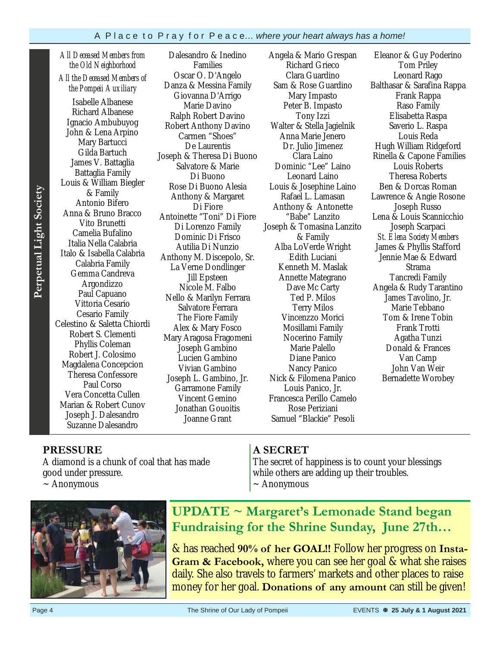*All Deceased Members from the Old Neighborhood All the Deceased Members of* 

*the Pompeii Auxiliary* 

Isabelle Albanese Richard Albanese Ignacio Ambubuyog John & Lena Arpino Mary Bartucci Gilda Bartuch James V. Battaglia Battaglia Family Louis & William Biegler & Family Antonio Bifero Anna & Bruno Bracco Vito Brunetti Camelia Bufalino Italia Nella Calabria Italo & Isabella Calabria Calabria Family Gemma Candreva Argondizzo Paul Capuano Vittoria Cesario Cesario Family Celestino & Saletta Chiordi Robert S. Clementi Phyllis Coleman Robert J. Colosimo Magdalena Concepcion Theresa Confessore Paul Corso Vera Concetta Cullen Marian & Robert Cunov Joseph J. Dalesandro Suzanne Dalesandro

Dalesandro & Inedino Families Oscar O. D'Angelo Danza & Messina Family Giovanna D'Arrigo Marie Davino Ralph Robert Davino Robert Anthony Davino Carmen "Shoes" De Laurentis Joseph & Theresa Di Buono Salvatore & Marie Di Buono Rose Di Buono Alesia Anthony & Margaret Di Fiore Antoinette "Toni" Di Fiore Di Lorenzo Family Dominic Di Frisco Autilia Di Nunzio Anthony M. Discepolo, Sr. La Verne Dondlinger Jill Epsteen Nicole M. Falbo Nello & Marilyn Ferrara Salvatore Ferrara The Fiore Family Alex & Mary Fosco Mary Aragosa Fragomeni Joseph Gambino Lucien Gambino Vivian Gambino Joseph L. Gambino, Jr. Garramone Family Vincent Gemino Jonathan Gouoitis Joanne Grant

Angela & Mario Grespan Richard Grieco Clara Guardino Sam & Rose Guardino Mary Impasto Peter B. Impasto Tony Izzi Walter & Stella Jagielnik Anna Marie Jenero Dr. Julio Jimenez Clara Laino Dominic "Lee" Laino Leonard Laino Louis & Josephine Laino Rafael L. Lamasan Anthony & Antonette "Babe" Lanzito Joseph & Tomasina Lanzito & Family Alba LoVerde Wright Edith Luciani Kenneth M. Maslak Annette Mategrano Dave Mc Carty Ted P. Milos Terry Milos Vincenzzo Morici Mosillami Family Nocerino Family Marie Palello Diane Panico Nancy Panico Nick & Filomena Panico Louis Panico, Jr. Francesca Perillo Camelo Rose Periziani Samuel "Blackie" Pesoli

Eleanor & Guy Poderino Tom Priley Leonard Rago Balthasar & Sarafina Rappa Frank Rappa Raso Family Elisabetta Raspa Saverio L. Raspa Louis Reda Hugh William Ridgeford Rinella & Capone Families Louis Roberts Theresa Roberts Ben & Dorcas Roman Lawrence & Angie Rosone Joseph Russo Lena & Louis Scannicchio Joseph Scarpaci *St. Elena Society Members*  James & Phyllis Stafford Jennie Mae & Edward Strama Tancredi Family Angela & Rudy Tarantino James Tavolino, Jr. Marie Tebbano Tom & Irene Tobin Frank Trotti Agatha Tunzi Donald & Frances Van Camp John Van Weir Bernadette Worobey

### **PRESSURE**

A diamond is a chunk of coal that has made good under pressure.  $\sim$  Anonymous

### **A SECRET**

The secret of happiness is to count your blessings while others are adding up their troubles.  $\sim$  Anonymous



**UPDATE ~ Margaret's Lemonade Stand began Fundraising for the Shrine Sunday, June 27th…** 

& has reached **90% of her GOAL!!** Follow her progress on **Insta-Gram & Facebook,** where you can see her goal & what she raises daily. She also travels to farmers' markets and other places to raise money for her goal. **Donations of any amount** can still be given!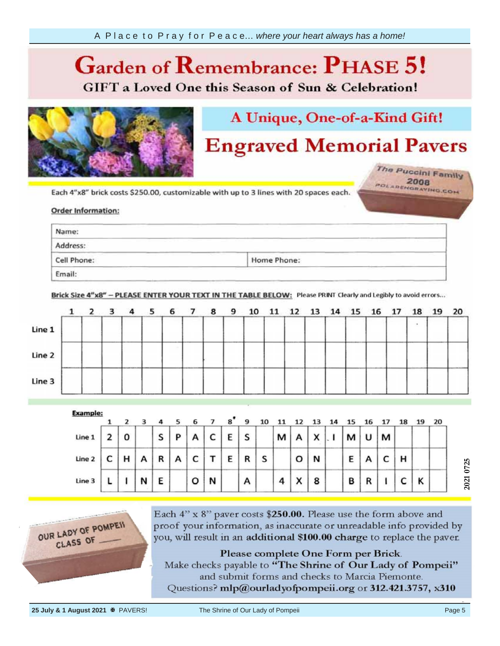## **Garden of**  *Ca* **GIFT** a Loved One this Season of Sun & Celebration!



# A Unique, One-of-a-Kind Gift!

## **Engraved Memorial Pavers**

The Puccini Family POLARENGRAVING.COM

your information, Each 4"x8"

#### Order info provided by the provided by the provided by the property of the property of the property of the property of the property of the property of the property of the property of the property of the property of the property of th

| Name:       |                                                                                                                                                                                                                                                                                                                                                                      |  |
|-------------|----------------------------------------------------------------------------------------------------------------------------------------------------------------------------------------------------------------------------------------------------------------------------------------------------------------------------------------------------------------------|--|
| Address:    | the property of the control of the<br>the contract of the contract of the contract of the contract of the contract of<br><b>The Contract Contract of Contract Contract Contract Contract Contract Contract Contract Contract Contract Contract Contract Contract Contract Contract Contract Contract Contract Contract Contract Contract Contract Contrac</b><br>- 3 |  |
| Cell Phone: | the control of the control of<br>the company of the company of the<br>Home Phone:                                                                                                                                                                                                                                                                                    |  |

Brick Size 4"x8" - PLEASE ENTER YOUR TEXT IN THE TABLE BELOW: Please PRINT Clearly and Legibly to avoid errors...

|        | $1\quad 2$ | 3 |       | 4 <sub>5</sub> | 6 7 | 89 | 10 |  | 11 12 13 14 15 16 17 |  |  | 18 | 19 20 |  |
|--------|------------|---|-------|----------------|-----|----|----|--|----------------------|--|--|----|-------|--|
| Line 1 |            |   |       |                |     |    |    |  |                      |  |  |    |       |  |
| Line 2 |            |   | ----- |                |     |    |    |  |                      |  |  |    |       |  |
| Line 3 |            |   |       |                |     |    |    |  |                      |  |  |    |       |  |

| <b>Example:</b> |   |   |   |   | 6 |   | 8 | 9 |   |   |                        |   |   |   |   |   | 19 | 20 |
|-----------------|---|---|---|---|---|---|---|---|---|---|------------------------|---|---|---|---|---|----|----|
| Line 1          | 0 |   | S | P | А | c | E | S |   | М |                        | x | м | υ | м |   |    |    |
| Line 2          | н | А | R | A | c |   | Е | R | s |   | о                      | N | Ε |   |   | н |    |    |
| Line 3          |   | N | E |   | o | N |   | Α |   | 4 | $\checkmark$<br>$\sim$ | 8 | в | n |   |   | Κ  |    |



Each 4" x 8" paver costs \$250.00. Please use the form above and proof your information, as inaccurate or unreadable info provided by you, will result in an additional \$100.00 charge to replace the paver.

Please complete One Form per Brick. Make checks payable to "The Shrine of Our Lady of Pompeii" and submit forms and checks to Marcia Piemonte. Questions? mlp@ourladyofpompeii.org or 312.421.3757, x310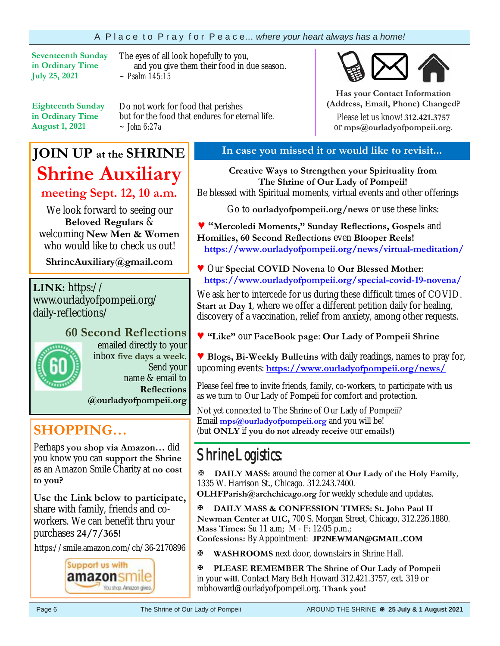### A P l a c e t o P r a y f o r P e a c e… *where your heart always has a home!*

**Seventeenth Sunday in Ordinary Time July 25, 2021** 

The eyes of all look hopefully to you, and you give them their food in due season. *~ Psalm 145:15*

**Eighteenth Sunday in Ordinary Time August 1, 2021**

Do not work for food that perishes but for the food that endures for eternal life. *~ John 6:27a*

## **JOIN UP at the SHRINE Shrine Auxiliary**

**meeting Sept. 12, 10 a.m.**

We look forward to seeing our **Beloved Regulars** & welcoming **New Men & Women**  who would like to check us out!

**ShrineAuxiliary@gmail.com**

**LINK:** https:// www.ourladyofpompeii.org/ daily-reflections/



**60 Second Reflections**  emailed directly to your inbox **five days a week**. Send your name & email to **Reflections @ourladyofpompeii.org** 

**SHOPPING…** 

Perhaps **you shop via Amazon…** did you know you can **support the Shrine**  as an Amazon Smile Charity at **no cost to you?** 

**Use the Link below to participate,** share with family, friends and coworkers. We can benefit thru your purchases **24/7/365!**

https://smile.amazon.com/ch/36-2170896



## **In case you missed it or would like to revisit...**

**Creative Ways to Strengthen your Spirituality from The Shrine of Our Lady of Pompeii!**  Be blessed with Spiritual moments, virtual events and other offerings

Go to **ourladyofpompeii.org/news** or use these links:

**♥ "Mercoledi Moments," Sunday Reflections, Gospels** and **Homilies, 60 Second Reflections** even **Blooper Reels! https://www.ourladyofpompeii.org/news/virtual-meditation/** 

**♥** Our **Special COVID Novena** to **Our Blessed Mother**:  **https://www.ourladyofpompeii.org/special-covid-19-novena/** 

We ask her to intercede for us during these difficult times of COVID. **Start at Day 1**, where we offer a different petition daily for healing, discovery of a vaccination, relief from anxiety, among other requests.

**♥ "Like"** our **FaceBook page**: **Our Lady of Pompeii Shrine** 

**♥ Blogs, Bi-Weekly Bulletins** with daily readings, names to pray for, upcoming events: **https://www.ourladyofpompeii.org/news/** 

Please feel free to invite friends, family, co-workers, to participate with us as we turn to Our Lady of Pompeii for comfort and protection.

Not yet connected to The Shrine of Our Lady of Pompeii? Email **mps@ourladyofpompeii.org** and you will be! (but **ONLY** if **you do not already receive** our **emails!)**

## Shrine Logistics:

**DAILY MASS:** around the corner at **Our Lady of the Holy Family**, 1335 W. Harrison St., Chicago. 312.243.7400.

**OLHFParish@archchicago.org** for weekly schedule and updates.

**DAILY MASS & CONFESSION TIMES: St. John Paul II Newman Center at UIC,** 700 S. Morgan Street, Chicago, 312.226.1880. **Mass Times:** Su 11 a.m; M - F: 12:05 p.m.; **Confessions:** By Appointment: **JP2NEWMAN@GMAIL.COM**

**WASHROOMS** next door, downstairs in Shrine Hall.

**PLEASE REMEMBER The Shrine of Our Lady of Pompeii**  in your **will**. Contact Mary Beth Howard 312.421.3757, ext. 319 or mbhoward@ourladyofpompeii.org. **Thank you!** 



**Has your Contact Information (Address, Email, Phone) Changed?**

Please let us know! **312.421.3757**  or **mps@ourladyofpompeii.org**.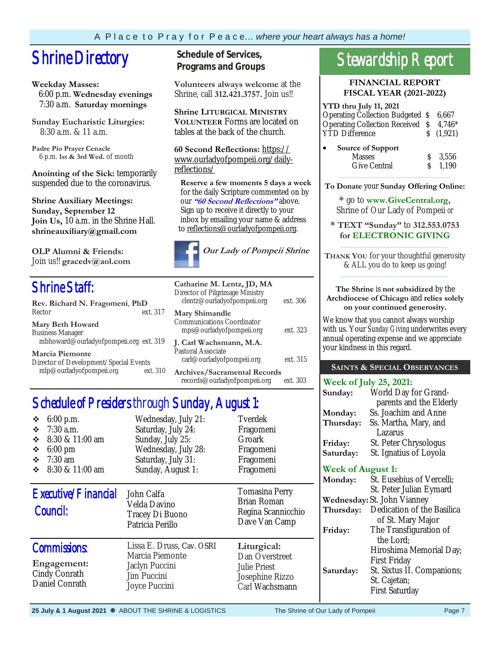# **Shrine Directory** Schedule of Services,

#### **Weekday Masses:**

 6:00 p.m. **Wednesday evenings** 7:30 a.m. **Saturday mornings**

**Sunday Eucharistic Liturgies:** 8:30 a.m. & 11 a.m.

**Padre Pio Prayer Cenacle** 6 p.m. **1st & 3rd Wed.** of month

**Anointing of the Sick:** temporarily suspended due to the coronavirus.

**Shrine Auxiliary Meetings: Sunday, September 12 Join Us,** 10 a.m. in the Shrine Hall. **shrineauxiliary@gmail.com** 

**OLP Alumni & Friends:**  Join us!! **gracedv@aol.com** 

## Shrine Staff:

| Rev. Richard N. Fragomeni, PhD         |          |
|----------------------------------------|----------|
| Rector                                 | ext. 317 |
| <b>Mary Beth Howard</b>                |          |
| <b>Business Manager</b>                |          |
| mbhoward@ourladyofpompeii.org ext. 319 |          |
| <b>Marcia Piemonte</b>                 |          |
| Director of Development/Special Events |          |
| mlp@ourladyofpompeii.org               | ext. 310 |

**Programs and Groups**

**Volunteers always welcome** at the Shrine, call **312.421.3757.** Join us!!

**Shrine LITURGICAL MINISTRY VOLUNTEER** Forms are located on tables at the back of the church.

**60 Second Reflections:** https:// www.ourladyofpompeii.org/dailyreflections/

 **Reserve a few moments 5 days a week**  for the daily Scripture commented on by our **"60 Second Reflections"** above. Sign up to receive it directly to your inbox by emailing your name & address to reflections@ourladyofpompeii.org.



| Catharine M. Lentz, JD, MA<br>Director of Pilgrimage Ministry<br>clentz@ourladyofpompeii.org | ext. 306 |
|----------------------------------------------------------------------------------------------|----------|
| <b>Mary Shimandle</b><br>Communications Coordinator<br>mps@ourladyofpompeii.org              | ext. 323 |
| J. Carl Wachsmann, M.A.<br>Pastoral Associate<br>carl@ourladyofpompeii.org                   | ext. 315 |
| Archives/Sacramental Records<br>records@ourladyofpompeii.org                                 | ext. 303 |

## Schedule of Presiders through Sunday, August 1:

| $6:00$ p.m.<br>❖<br>$7:30$ a.m.<br>❖<br>8:30 & 11:00 am<br>❖<br>$6:00$ pm<br>❖<br>$7:30$ am<br>❖<br>8:30 & 11:00 am<br>❖ | Wednesday, July 21:<br>Saturday, July 24:<br>Sunday, July 25:<br>Wednesday, July 28:<br>Saturday, July 31:<br>Sunday, August 1: | Tverdek<br>Fragomeni<br>Groark<br>Fragomeni<br>Fragomeni<br>Fragomeni                     |  |  |  |  |
|--------------------------------------------------------------------------------------------------------------------------|---------------------------------------------------------------------------------------------------------------------------------|-------------------------------------------------------------------------------------------|--|--|--|--|
| Executive/Financial<br>Council:                                                                                          | John Calfa<br>Velda Davino<br>Tracey Di Buono<br>Patricia Perillo                                                               | <b>Tomasina Perry</b><br><b>Brian Roman</b><br>Regina Scannicchio<br>Dave Van Camp        |  |  |  |  |
| <b>Commissions:</b><br>Engagement:<br>Cindy Conrath<br>Daniel Conrath                                                    | Lissa E. Druss, Cav. OSRI<br>Marcia Piemonte<br>Jaclyn Puccini<br>Jim Puccini<br>Joyce Puccini                                  | Liturgical:<br>Dan Overstreet<br><b>Julie Priest</b><br>Josephine Rizzo<br>Carl Wachsmann |  |  |  |  |

## Stewardship Report

#### **FINANCIAL REPORT FISCAL YEAR (2021-2022)**

#### **YTD thru July 11, 2021**  Operating Collection Budgeted \$ 6,667 Operating Collection Received \$ 4,746\* YTD Difference  $\qquad \qquad$  \$ (1,921) **Source of Support**  Masses \$ 3,556

Give Central  $\qquad \qquad$  \$ 1.190  $\overline{\phantom{a}}$  ,  $\overline{\phantom{a}}$  ,  $\overline{\phantom{a}}$  ,  $\overline{\phantom{a}}$  ,  $\overline{\phantom{a}}$  ,  $\overline{\phantom{a}}$  ,  $\overline{\phantom{a}}$  ,  $\overline{\phantom{a}}$  ,  $\overline{\phantom{a}}$  ,  $\overline{\phantom{a}}$  ,  $\overline{\phantom{a}}$  ,  $\overline{\phantom{a}}$  ,  $\overline{\phantom{a}}$  ,  $\overline{\phantom{a}}$  ,  $\overline{\phantom{a}}$  ,  $\overline{\phantom{a}}$ 

**To Donate** your **Sunday Offering Online:** 

**\*** go to **www.GiveCentral.org,** Shrine of Our Lady of Pompeii *or* 

**\* TEXT "Sunday"** to **312.553.0753 for ELECTRONIC GIVING** \_\_\_\_\_\_\_\_\_\_\_\_\_\_\_\_\_\_\_\_\_\_\_\_\_\_\_\_\_\_\_\_\_

**THANK YOU** for your thoughtful generosity & ALL you do to keep us going! \_\_\_\_\_\_\_\_\_\_\_\_\_\_\_\_\_\_\_\_\_\_\_\_\_\_\_\_\_\_\_\_\_

#### **The Shrine** is **not subsidized** by the **Archdiocese of Chicago** and **relies solely on your continued generosity.**

We know that you cannot always worship with us. Your *Sunday Giving* underwrites every annual operating expense and we appreciate your kindness in this regard.

#### **SAINTS & SPECIAL OBSERVANCES**

#### **Week of July 25, 2021:**

| Sunday:   | World Day for Grand-    |
|-----------|-------------------------|
|           | parents and the Elderly |
| Monday:   | Ss. Joachim and Anne    |
| Thursday: | Ss. Martha, Mary, and   |
|           | Lazarus                 |
| Friday:   | St. Peter Chrysologus   |
| Saturday: | St. Ignatius of Loyola  |

### **Week of August 1:**

| Monday:   | St. Eusebius of Vercelli;          |
|-----------|------------------------------------|
|           | St. Peter Julian Eymard            |
|           | <b>Wednesday:</b> St. John Vianney |
| Thursday: | Dedication of the Basilica         |
|           | of St. Mary Major                  |
| Friday:   | The Transfiguration of             |
|           | the Lord;                          |
|           | Hiroshima Memorial Day;            |
|           | <b>First Friday</b>                |
| Saturday: | St. Sixtus II. Companions;         |
|           | St. Cajetan;                       |
|           | <b>First Saturday</b>              |
|           |                                    |